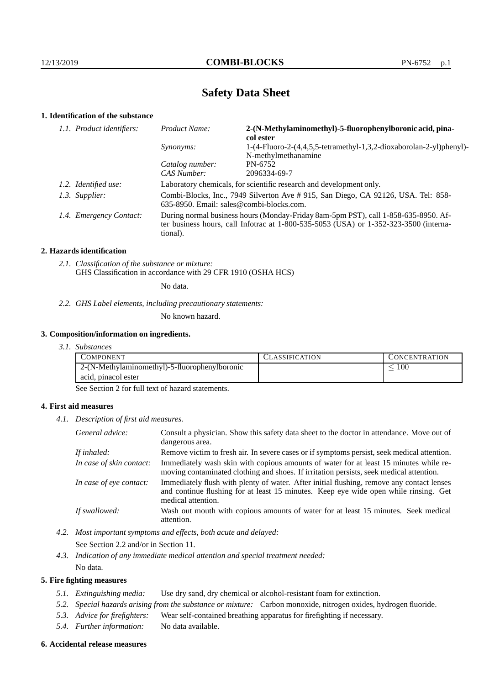# **Safety Data Sheet**

## **1. Identification of the substance**

| 1.1. Product identifiers: | Product Name:                                                                                                                                                                               | 2-(N-Methylaminomethyl)-5-fluorophenylboronic acid, pina-<br>col ester                     |
|---------------------------|---------------------------------------------------------------------------------------------------------------------------------------------------------------------------------------------|--------------------------------------------------------------------------------------------|
|                           | <i>Synonyms:</i>                                                                                                                                                                            | 1-(4-Fluoro-2-(4,4,5,5-tetramethyl-1,3,2-dioxaborolan-2-yl)phenyl)-<br>N-methylmethanamine |
|                           | Catalog number:                                                                                                                                                                             | PN-6752                                                                                    |
|                           | CAS Number:                                                                                                                                                                                 | 2096334-69-7                                                                               |
| 1.2. Identified use:      | Laboratory chemicals, for scientific research and development only.                                                                                                                         |                                                                                            |
| 1.3. Supplier:            | Combi-Blocks, Inc., 7949 Silverton Ave # 915, San Diego, CA 92126, USA. Tel: 858-<br>635-8950. Email: sales@combi-blocks.com.                                                               |                                                                                            |
| 1.4. Emergency Contact:   | During normal business hours (Monday-Friday 8am-5pm PST), call 1-858-635-8950. Af-<br>ter business hours, call Infotrac at $1-800-535-5053$ (USA) or $1-352-323-3500$ (interna-<br>tional). |                                                                                            |

### **2. Hazards identification**

*2.1. Classification of the substance or mixture:* GHS Classification in accordance with 29 CFR 1910 (OSHA HCS)

No data.

#### *2.2. GHS Label elements, including precautionary statements:*

No known hazard.

## **3. Composition/information on ingredients.**

*3.1. Substances*

| <b>COMPONENT</b>                              | CLASSIFICATION | CONCENTRATION |
|-----------------------------------------------|----------------|---------------|
| 2-(N-Methylaminomethyl)-5-fluorophenylboronic |                | $100\,$       |
| acid, pinacol ester                           |                |               |

See Section 2 for full text of hazard statements.

## **4. First aid measures**

*4.1. Description of first aid measures.*

| General advice:          | Consult a physician. Show this safety data sheet to the doctor in attendance. Move out of<br>dangerous area.                                                                                            |
|--------------------------|---------------------------------------------------------------------------------------------------------------------------------------------------------------------------------------------------------|
| If inhaled:              | Remove victim to fresh air. In severe cases or if symptoms persist, seek medical attention.                                                                                                             |
| In case of skin contact: | Immediately wash skin with copious amounts of water for at least 15 minutes while re-<br>moving contaminated clothing and shoes. If irritation persists, seek medical attention.                        |
| In case of eye contact:  | Immediately flush with plenty of water. After initial flushing, remove any contact lenses<br>and continue flushing for at least 15 minutes. Keep eye wide open while rinsing. Get<br>medical attention. |
| If swallowed:            | Wash out mouth with copious amounts of water for at least 15 minutes. Seek medical<br>attention.                                                                                                        |

*4.2. Most important symptoms and effects, both acute and delayed:*

See Section 2.2 and/or in Section 11.

*4.3. Indication of any immediate medical attention and special treatment needed:* No data.

## **5. Fire fighting measures**

- *5.1. Extinguishing media:* Use dry sand, dry chemical or alcohol-resistant foam for extinction.
- *5.2. Special hazards arising from the substance or mixture:* Carbon monoxide, nitrogen oxides, hydrogen fluoride.
- *5.3. Advice for firefighters:* Wear self-contained breathing apparatus for firefighting if necessary.
- *5.4. Further information:* No data available.

#### **6. Accidental release measures**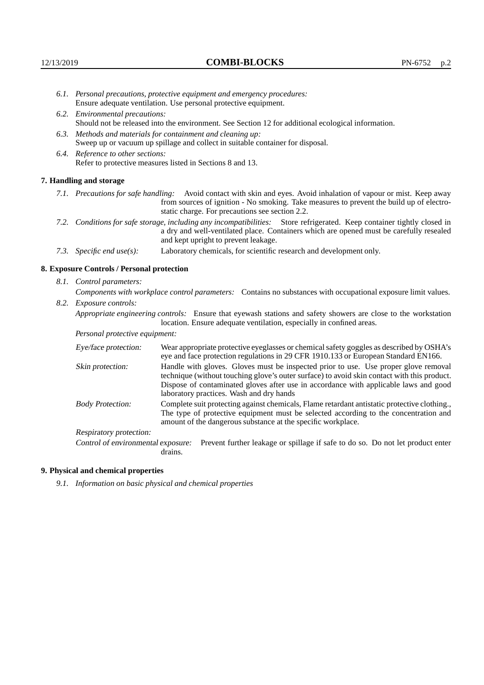- *6.1. Personal precautions, protective equipment and emergency procedures:* Ensure adequate ventilation. Use personal protective equipment.
- *6.2. Environmental precautions:* Should not be released into the environment. See Section 12 for additional ecological information.
- *6.3. Methods and materials for containment and cleaning up:* Sweep up or vacuum up spillage and collect in suitable container for disposal.
- *6.4. Reference to other sections:* Refer to protective measures listed in Sections 8 and 13.

#### **7. Handling and storage**

- *7.1. Precautions for safe handling:* Avoid contact with skin and eyes. Avoid inhalation of vapour or mist. Keep away from sources of ignition - No smoking. Take measures to prevent the build up of electrostatic charge. For precautions see section 2.2.
- *7.2. Conditions for safe storage, including any incompatibilities:* Store refrigerated. Keep container tightly closed in a dry and well-ventilated place. Containers which are opened must be carefully resealed and kept upright to prevent leakage.
- *7.3. Specific end use(s):* Laboratory chemicals, for scientific research and development only.

#### **8. Exposure Controls / Personal protection**

*8.1. Control parameters:*

*Components with workplace control parameters:* Contains no substances with occupational exposure limit values.

*8.2. Exposure controls:*

*Appropriate engineering controls:* Ensure that eyewash stations and safety showers are close to the workstation location. Ensure adequate ventilation, especially in confined areas.

*Personal protective equipment:*

| Eye/face protection:    | Wear appropriate protective eyeglasses or chemical safety goggles as described by OSHA's<br>eye and face protection regulations in 29 CFR 1910.133 or European Standard EN166.                                                                                                                                         |
|-------------------------|------------------------------------------------------------------------------------------------------------------------------------------------------------------------------------------------------------------------------------------------------------------------------------------------------------------------|
| Skin protection:        | Handle with gloves. Gloves must be inspected prior to use. Use proper glove removal<br>technique (without touching glove's outer surface) to avoid skin contact with this product.<br>Dispose of contaminated gloves after use in accordance with applicable laws and good<br>laboratory practices. Wash and dry hands |
| <b>Body Protection:</b> | Complete suit protecting against chemicals, Flame retardant antistatic protective clothing.,<br>The type of protective equipment must be selected according to the concentration and<br>amount of the dangerous substance at the specific workplace.                                                                   |
| Respiratory protection: |                                                                                                                                                                                                                                                                                                                        |

Control of environmental exposure: Prevent further leakage or spillage if safe to do so. Do not let product enter drains.

## **9. Physical and chemical properties**

*9.1. Information on basic physical and chemical properties*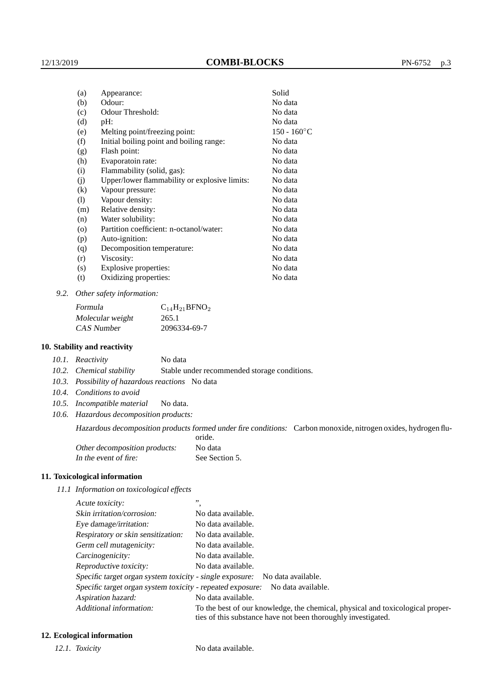| Appearance:                                   | Solid          |
|-----------------------------------------------|----------------|
| Odour:                                        | No data        |
| Odour Threshold:                              | No data        |
| pH:                                           | No data        |
| Melting point/freezing point:                 | $150 - 160$ °C |
| Initial boiling point and boiling range:      | No data        |
| Flash point:                                  | No data        |
| Evaporatoin rate:                             | No data        |
| Flammability (solid, gas):                    | No data        |
| Upper/lower flammability or explosive limits: | No data        |
| Vapour pressure:                              | No data        |
| Vapour density:                               | No data        |
| Relative density:                             | No data        |
| Water solubility:                             | No data        |
| Partition coefficient: n-octanol/water:       | No data        |
| Auto-ignition:                                | No data        |
| Decomposition temperature:                    | No data        |
| Viscosity:                                    | No data        |
| Explosive properties:                         | No data        |
| Oxidizing properties:                         | No data        |
|                                               |                |

*9.2. Other safety information:*

| Formula          | $C_{14}H_{21}BFNO_2$ |
|------------------|----------------------|
| Molecular weight | 265.1                |
| CAS Number       | 2096334-69-7         |

## **10. Stability and reactivity**

|  | 10.1. Reactivity | No data |
|--|------------------|---------|
|--|------------------|---------|

*10.2. Chemical stability* Stable under recommended storage conditions.

- *10.3. Possibility of hazardous reactions* No data
- *10.4. Conditions to avoid*
- *10.5. Incompatible material* No data.
- *10.6. Hazardous decomposition products:*

Hazardous decomposition products formed under fire conditions: Carbon monoxide, nitrogen oxides, hydrogen flu-

|                               | oride.         |
|-------------------------------|----------------|
| Other decomposition products: | No data        |
| In the event of fire:         | See Section 5. |

### **11. Toxicological information**

*11.1 Information on toxicological effects*

| Acute toxicity:                                            | ,,                                                                                                                                              |
|------------------------------------------------------------|-------------------------------------------------------------------------------------------------------------------------------------------------|
| Skin irritation/corrosion:                                 | No data available.                                                                                                                              |
| Eye damage/irritation:                                     | No data available.                                                                                                                              |
| Respiratory or skin sensitization:                         | No data available.                                                                                                                              |
| Germ cell mutagenicity:                                    | No data available.                                                                                                                              |
| Carcinogenicity:                                           | No data available.                                                                                                                              |
| Reproductive toxicity:                                     | No data available.                                                                                                                              |
| Specific target organ system toxicity - single exposure:   | No data available.                                                                                                                              |
| Specific target organ system toxicity - repeated exposure: | No data available.                                                                                                                              |
| Aspiration hazard:                                         | No data available.                                                                                                                              |
| Additional information:                                    | To the best of our knowledge, the chemical, physical and toxicological proper-<br>ties of this substance have not been thoroughly investigated. |

## **12. Ecological information**

*12.1. Toxicity* No data available.